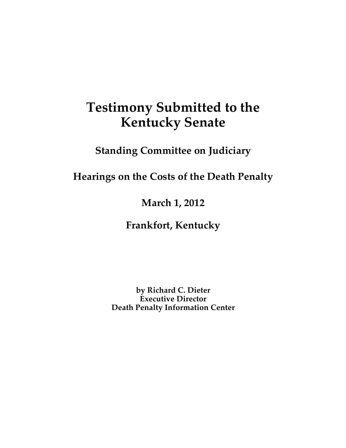# **Testimony Submitted to the Kentucky Senate**

**Standing Committee on Judiciary**

**Hearings on the Costs of the Death Penalty**

**March 1, 2012**

**Frankfort, Kentucky**

**by Richard C. Dieter Executive Director Death Penalty Information Center**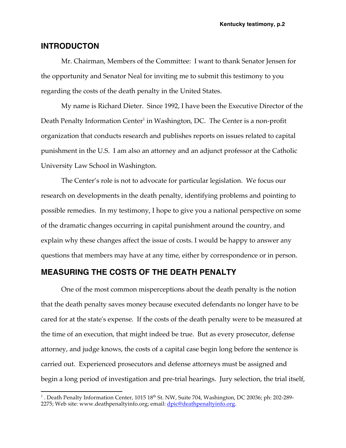## **INTRODUCTON**

Mr. Chairman, Members of the Committee: I want to thank Senator Jensen for the opportunity and Senator Neal for inviting me to submit this testimony to you regarding the costs of the death penalty in the United States.

My name is Richard Dieter. Since 1992, I have been the Executive Director of the Death Penalty Information Center<sup>1</sup> in Washington, DC. The Center is a non-profit organization that conducts research and publishes reports on issues related to capital punishment in the U.S. I am also an attorney and an adjunct professor at the Catholic University Law School in Washington.

The Center's role is not to advocate for particular legislation. We focus our research on developments in the death penalty, identifying problems and pointing to possible remedies. In my testimony, I hope to give you a national perspective on some of the dramatic changes occurring in capital punishment around the country, and explain why these changes affect the issue of costs. I would be happy to answer any questions that members may have at any time, either by correspondence or in person.

## **MEASURING THE COSTS OF THE DEATH PENALTY**

One of the most common misperceptions about the death penalty is the notion that the death penalty saves money because executed defendants no longer have to be cared for at the state's expense. If the costs of the death penalty were to be measured at the time of an execution, that might indeed be true. But as every prosecutor, defense attorney, and judge knows, the costs of a capital case begin long before the sentence is carried out. Experienced prosecutors and defense attorneys must be assigned and begin a long period of investigation and pre-trial hearings. Jury selection, the trial itself,

<sup>1 .</sup> Death Penalty Information Center, 1015 18<sup>th</sup> St. NW, Suite 704, Washington, DC 20036; ph: 202-289-2275; Web site: www.deathpenaltyinfo.org; email: <u>dpic@deathpenaltyinfo.org</u>.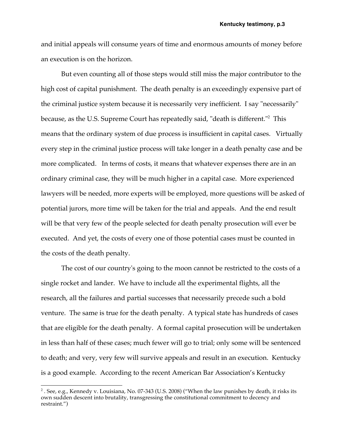and initial appeals will consume years of time and enormous amounts of money before an execution is on the horizon.

But even counting all of those steps would still miss the major contributor to the high cost of capital punishment. The death penalty is an exceedingly expensive part of the criminal justice system because it is necessarily very inefficient. I say "necessarily" because, as the U.S. Supreme Court has repeatedly said, "death is different."<sup>2</sup> This means that the ordinary system of due process is insufficient in capital cases. Virtually every step in the criminal justice process will take longer in a death penalty case and be more complicated. In terms of costs, it means that whatever expenses there are in an ordinary criminal case, they will be much higher in a capital case. More experienced lawyers will be needed, more experts will be employed, more questions will be asked of potential jurors, more time will be taken for the trial and appeals. And the end result will be that very few of the people selected for death penalty prosecution will ever be executed. And yet, the costs of every one of those potential cases must be counted in the costs of the death penalty.

The cost of our country's going to the moon cannot be restricted to the costs of a single rocket and lander. We have to include all the experimental flights, all the research, all the failures and partial successes that necessarily precede such a bold venture. The same is true for the death penalty. A typical state has hundreds of cases that are eligible for the death penalty. A formal capital prosecution will be undertaken in less than half of these cases; much fewer will go to trial; only some will be sentenced to death; and very, very few will survive appeals and result in an execution. Kentucky is a good example. According to the recent American Bar Association's Kentucky

 $2$ . See, e.g., Kennedy v. Louisiana, No. 07-343 (U.S. 2008) ("When the law punishes by death, it risks its own sudden descent into brutality, transgressing the constitutional commitment to decency and restraint.")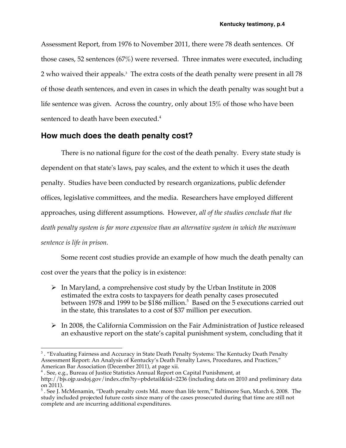Assessment Report, from 1976 to November 2011, there were 78 death sentences. Of those cases, 52 sentences (67%) were reversed. Three inmates were executed, including 2 who waived their appeals.<sup>3</sup> The extra costs of the death penalty were present in all 78 of those death sentences, and even in cases in which the death penalty was sought but a life sentence was given. Across the country, only about 15% of those who have been sentenced to death have been executed.<sup>4</sup>

## **How much does the death penalty cost?**

There is no national figure for the cost of the death penalty. Every state study is dependent on that state's laws, pay scales, and the extent to which it uses the death penalty. Studies have been conducted by research organizations, public defender offices, legislative committees, and the media. Researchers have employed different approaches, using different assumptions. However, *all of the studies conclude that the death penalty system is far more expensive than an alternative system in which the maximum sentence is life in prison.*

Some recent cost studies provide an example of how much the death penalty can

cost over the years that the policy is in existence:

- $\triangleright$  In Maryland, a comprehensive cost study by the Urban Institute in 2008 estimated the extra costs to taxpayers for death penalty cases prosecuted between 1978 and 1999 to be \$186 million.<sup>5</sup> Based on the 5 executions carried out in the state, this translates to a cost of \$37 million per execution.
- $\triangleright$  In 2008, the California Commission on the Fair Administration of Justice released an exhaustive report on the state's capital punishment system, concluding that it

<sup>&</sup>lt;sup>3</sup>. "Evaluating Fairness and Accuracy in State Death Penalty Systems: The Kentucky Death Penalty Assessment Report: An Analysis of Kentucky's Death Penalty Laws, Procedures, and Practices," American Bar Association (December 2011), at page xii.<br><sup>4</sup> . See, e.g., Bureau of Justice Statistics Annual Report on Capital Punishment, at

http://bjs.ojp.usdoj.gov/index.cfm?ty=pbdetail&iid=2236 (including data on 2010 and preliminary data on 2011).

<sup>&</sup>lt;sup>5</sup>. See J. McMenamin, "Death penalty costs Md. more than life term," Baltimore Sun, March 6, 2008. The study included projected future costs since many of the cases prosecuted during that time are still not complete and are incurring additional expenditures.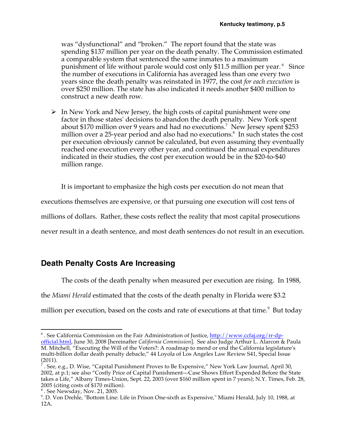was "dysfunctional" and "broken." The report found that the state was spending \$137 million per year on the death penalty. The Commission estimated a comparable system that sentenced the same inmates to a maximum punishment of life without parole would cost only \$11.5 million per year.<sup>6</sup> Since the number of executions in California has averaged less than one every two years since the death penalty was reinstated in 1977, the cost *for each execution* is over \$250 million. The state has also indicated it needs another \$400 million to construct a new death row.

 $\triangleright$  In New York and New Jersey, the high costs of capital punishment were one factor in those states' decisions to abandon the death penalty. New York spent about \$170 million over 9 years and had no executions.<sup>7</sup> New Jersey spent \$253 million over a 25-year period and also had no executions.<sup>8</sup> In such states the cost per execution obviously cannot be calculated, but even assuming they eventually reached one execution every other year, and continued the annual expenditures indicated in their studies, the cost per execution would be in the \$20-to-\$40 million range.

It is important to emphasize the high costs per execution do not mean that

executions themselves are expensive, or that pursuing one execution will cost tens of

millions of dollars. Rather, these costs reflect the reality that most capital prosecutions

never result in a death sentence, and most death sentences do not result in an execution.

# **Death Penalty Costs Are Increasing**

The costs of the death penalty when measured per execution are rising. In 1988,

the *Miami Herald* estimated that the costs of the death penalty in Florida were \$3.2

million per execution, based on the costs and rate of executions at that time.<sup>9</sup> But today

 $6$ . See California Commission on the Fair Administration of Justice, http://www.ccfaj.org/rr-dpofficial.html, June 30, 2008 [hereinafter *California Commission*]. See also Judge Arthur L. Alarcon & Paula M. Mitchell, "Executing the Will of the Voters?: A roadmap to mend or end the California legislature's multi-billion dollar death penalty debacle," 44 Loyola of Los Angeles Law Review S41, Special Issue (2011).

 $^7$  . See, e.g., D. Wise, "Capital Punishment Proves to Be Expensive," New York Law Journal, April 30, 2002, at p.1; see also "Costly Price of Capital Punishment—Case Shows Effort Expended Before the State takes a Life," Albany Times-Union, Sept. 22, 2003 (over \$160 million spent in 7 years); N.Y. Times, Feb. 28, 2005 (citing costs of \$170 million).

 $8$ . See Newsday, Nov. 21, 2005.

<sup>.</sup> D. Von Drehle, "Bottom Line: Life in Prison One-sixth as Expensive," Miami Herald, July 10, 1988, at 12A.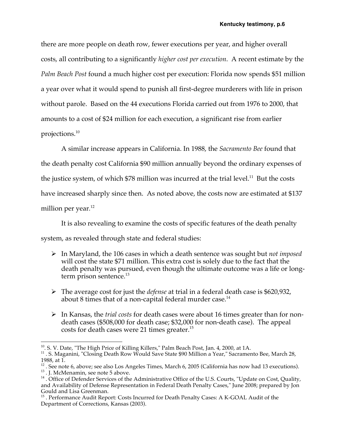there are more people on death row, fewer executions per year, and higher overall costs, all contributing to a significantly *higher cost per execution*. A recent estimate by the *Palm Beach Post* found a much higher cost per execution: Florida now spends \$51 million a year over what it would spend to punish all first-degree murderers with life in prison without parole. Based on the 44 executions Florida carried out from 1976 to 2000, that amounts to a cost of \$24 million for each execution, a significant rise from earlier projections.<sup>10</sup>

A similar increase appears in California. In 1988, the *Sacramento Bee* found that the death penalty cost California \$90 million annually beyond the ordinary expenses of the justice system, of which  $$78$  million was incurred at the trial level.<sup>11</sup> But the costs have increased sharply since then. As noted above, the costs now are estimated at \$137 million per year*.* 12

It is also revealing to examine the costs of specific features of the death penalty

system, as revealed through state and federal studies:

- ! In Maryland, the 106 cases in which a death sentence was sought but *not imposed* will cost the state \$71 million. This extra cost is solely due to the fact that the death penalty was pursued, even though the ultimate outcome was a life or longterm prison sentence.<sup>13</sup>
- ! The average cost for just the *defense* at trial in a federal death case is \$620,932, about 8 times that of a non-capital federal murder case.<sup>14</sup>
- ! In Kansas, the *trial costs* for death cases were about 16 times greater than for nondeath cases (\$508,000 for death case; \$32,000 for non-death case). The appeal costs for death cases were 21 times greater.<sup>15</sup>

<sup>&</sup>lt;sup>10</sup>. S. V. Date, "The High Price of Killing Killers," Palm Beach Post, Jan. 4, 2000, at 1A.

<sup>&</sup>lt;sup>11</sup> . S. Maganini, "Closing Death Row Would Save State \$90 Million a Year," Sacramento Bee, March 28, 1988, at 1.<br><sup>12</sup>. See note 6, above; see also Los Angeles Times, March 6, 2005 (California has now had 13 executions).

<sup>&</sup>lt;sup>13</sup>. J. McMenamin, see note 5 above.<br><sup>13</sup>. J. McMenamin, see note 5 above.<br><sup>14</sup> . Office of Defender Services of the Administrative Office of the U.S. Courts, "Update on Cost, Quality,

and Availability of Defense Representation in Federal Death Penalty Cases," June 2008; prepared by Jon Gould and Lisa Greenman.

<sup>&</sup>lt;sup>15</sup>. Performance Audit Report: Costs Incurred for Death Penalty Cases: A K-GOAL Audit of the Department of Corrections, Kansas (2003).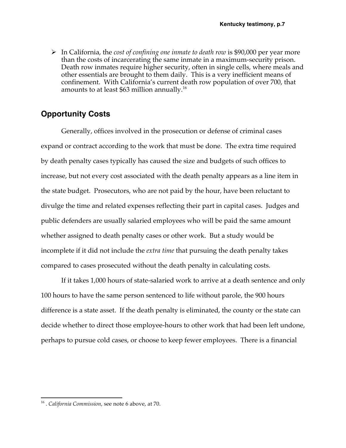! In California, the *cost of confining one inmate to death row* is \$90,000 per year more than the costs of incarcerating the same inmate in a maximum-security prison. Death row inmates require higher security, often in single cells, where meals and other essentials are brought to them daily. This is a very inefficient means of confinement. With California's current death row population of over 700, that amounts to at least \$63 million annually.<sup>16</sup>

## **Opportunity Costs**

Generally, offices involved in the prosecution or defense of criminal cases expand or contract according to the work that must be done. The extra time required by death penalty cases typically has caused the size and budgets of such offices to increase, but not every cost associated with the death penalty appears as a line item in the state budget. Prosecutors, who are not paid by the hour, have been reluctant to divulge the time and related expenses reflecting their part in capital cases. Judges and public defenders are usually salaried employees who will be paid the same amount whether assigned to death penalty cases or other work. But a study would be incomplete if it did not include the *extra time* that pursuing the death penalty takes compared to cases prosecuted without the death penalty in calculating costs.

If it takes 1,000 hours of state-salaried work to arrive at a death sentence and only 100 hours to have the same person sentenced to life without parole, the 900 hours difference is a state asset. If the death penalty is eliminated, the county or the state can decide whether to direct those employee-hours to other work that had been left undone, perhaps to pursue cold cases, or choose to keep fewer employees. There is a financial

 <sup>16</sup> . *California Commission*, see note 6 above, at 70.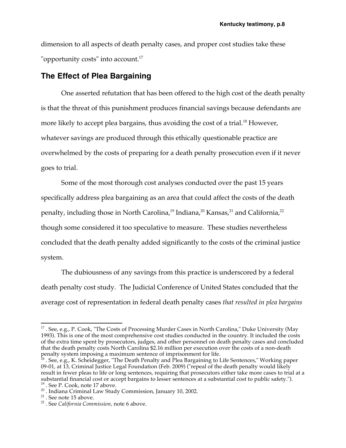dimension to all aspects of death penalty cases, and proper cost studies take these "opportunity costs" into account.<sup>17</sup>

## **The Effect of Plea Bargaining**

One asserted refutation that has been offered to the high cost of the death penalty is that the threat of this punishment produces financial savings because defendants are more likely to accept plea bargains, thus avoiding the cost of a trial.<sup>18</sup> However, whatever savings are produced through this ethically questionable practice are overwhelmed by the costs of preparing for a death penalty prosecution even if it never goes to trial.

Some of the most thorough cost analyses conducted over the past 15 years specifically address plea bargaining as an area that could affect the costs of the death penalty, including those in North Carolina,<sup>19</sup> Indiana,<sup>20</sup> Kansas,<sup>21</sup> and California,<sup>22</sup> though some considered it too speculative to measure. These studies nevertheless concluded that the death penalty added significantly to the costs of the criminal justice system.

The dubiousness of any savings from this practice is underscored by a federal death penalty cost study. The Judicial Conference of United States concluded that the average cost of representation in federal death penalty cases *that resulted in plea bargains*

<sup>&</sup>lt;sup>17</sup> . See, e.g., P. Cook, "The Costs of Processing Murder Cases in North Carolina," Duke University (May 1993). This is one of the most comprehensive cost studies conducted in the country. It included the costs of the extra time spent by prosecutors, judges, and other personnel on death penalty cases and concluded that the death penalty costs North Carolina \$2.16 million per execution over the costs of a non-death penalty system imposing a maximum sentence of imprisonment for life.

<sup>&</sup>lt;sup>18</sup> . See, e.g., K. Scheidegger, "The Death Penalty and Plea Bargaining to Life Sentences," Working paper 09-01, at 13, Criminal Justice Legal Foundation (Feb. 2009) ("repeal of the death penalty would likely result in fewer pleas to life or long sentences, requiring that prosecutors either take more cases to trial at a substantial financial cost or accept bargains to lesser sentences at a substantial cost to public safety."). <sup>19</sup>. See P. Cook, note 17 above.

<sup>&</sup>lt;sup>20</sup> . Indiana Criminal Law Study Commission, January 10, 2002.<br><sup>21</sup> . See note 15 above.<br><sup>22</sup> . See *California Commission*, note 6 above.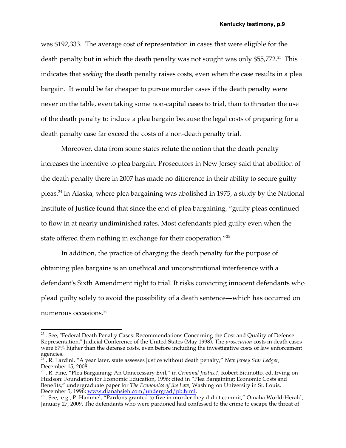was \$192,333. The average cost of representation in cases that were eligible for the death penalty but in which the death penalty was not sought was only \$55,772<sup>23</sup>. This indicates that *seeking* the death penalty raises costs, even when the case results in a plea bargain. It would be far cheaper to pursue murder cases if the death penalty were never on the table, even taking some non-capital cases to trial, than to threaten the use of the death penalty to induce a plea bargain because the legal costs of preparing for a death penalty case far exceed the costs of a non-death penalty trial.

Moreover, data from some states refute the notion that the death penalty increases the incentive to plea bargain. Prosecutors in New Jersey said that abolition of the death penalty there in 2007 has made no difference in their ability to secure guilty pleas.24 In Alaska, where plea bargaining was abolished in 1975, a study by the National Institute of Justice found that since the end of plea bargaining, "guilty pleas continued to flow in at nearly undiminished rates. Most defendants pled guilty even when the state offered them nothing in exchange for their cooperation."<sup>25</sup>

In addition, the practice of charging the death penalty for the purpose of obtaining plea bargains is an unethical and unconstitutional interference with a defendant's Sixth Amendment right to trial. It risks convicting innocent defendants who plead guilty solely to avoid the possibility of a death sentence—which has occurred on numerous occasions.<sup>26</sup>

 $23$ . See, "Federal Death Penalty Cases: Recommendations Concerning the Cost and Quality of Defense Representation," Judicial Conference of the United States (May 1998). The *prosecution* costs in death cases were 67% higher than the defense costs, even before including the investigative costs of law enforcement agencies.

<sup>24</sup> . R. Lardini, "A year later, state assesses justice without death penalty," *New Jersey Star Ledger,*  December 15, 2008.

<sup>25</sup> . R. Fine, "Plea Bargaining: An Unnecessary Evil," in *Criminal Justice?,* Robert Bidinotto, ed. Irving-on-Hudson: Foundation for Economic Education, 1996; cited in "Plea Bargaining: Economic Costs and Benefits," undergraduate paper for *The Economics of the Law*, Washington University in St. Louis, December 5, 1996; <u>www.dianahsieh.com/undergrad/pb.html</u>.<br><sup>26</sup> . See, e.g., P. Hammel, "Pardons granted to five in murder they didn't commit," Omaha World-Herald,

January 27, 2009. The defendants who were pardoned had confessed to the crime to escape the threat of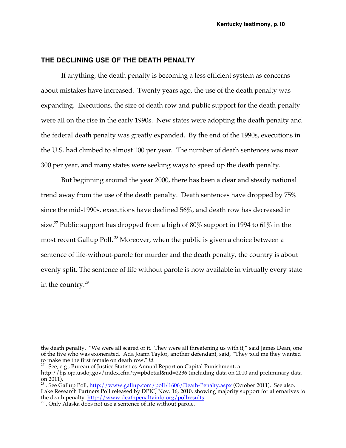#### **THE DECLINING USE OF THE DEATH PENALTY**

If anything, the death penalty is becoming a less efficient system as concerns about mistakes have increased. Twenty years ago, the use of the death penalty was expanding. Executions, the size of death row and public support for the death penalty were all on the rise in the early 1990s. New states were adopting the death penalty and the federal death penalty was greatly expanded. By the end of the 1990s, executions in the U.S. had climbed to almost 100 per year. The number of death sentences was near 300 per year, and many states were seeking ways to speed up the death penalty.

But beginning around the year 2000, there has been a clear and steady national trend away from the use of the death penalty. Death sentences have dropped by 75% since the mid-1990s, executions have declined 56%, and death row has decreased in size.<sup>27</sup> Public support has dropped from a high of  $80\%$  support in 1994 to 61% in the most recent Gallup Poll. <sup>28</sup> Moreover, when the public is given a choice between a sentence of life-without-parole for murder and the death penalty, the country is about evenly split. The sentence of life without parole is now available in virtually every state in the country. $29$ 

the death penalty. "We were all scared of it. They were all threatening us with it," said James Dean, one of the five who was exonerated. Ada Joann Taylor, another defendant, said, "They told me they wanted to make me the first female on death row."  $Id$ .

<sup>&</sup>lt;sup>27</sup>. See, e.g., Bureau of Justice Statistics Annual Report on Capital Punishment, at

http://bjs.ojp.usdoj.gov/index.cfm?ty=pbdetail&iid=2236 (including data on 2010 and preliminary data on 2011).

<sup>&</sup>lt;sup>28</sup> . See Gallup Poll, http://www.gallup.com/poll/1606/Death-Penalty.aspx (October 2011). See also, Lake Research Partners Poll released by DPIC, Nov. 16, 2010, showing majority support for alternatives to the death penalty. http://www.deathpenaltyinfo.org/pollresults.<sup>29</sup>. Only Alaska does not use a sentence of life without parole.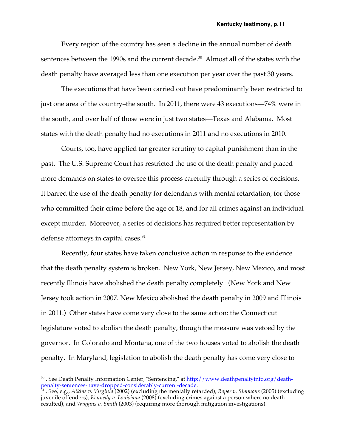Every region of the country has seen a decline in the annual number of death sentences between the 1990s and the current decade.<sup>30</sup> Almost all of the states with the death penalty have averaged less than one execution per year over the past 30 years.

The executions that have been carried out have predominantly been restricted to just one area of the country–the south. In 2011, there were 43 executions—74% were in the south, and over half of those were in just two states—Texas and Alabama. Most states with the death penalty had no executions in 2011 and no executions in 2010.

Courts, too, have applied far greater scrutiny to capital punishment than in the past. The U.S. Supreme Court has restricted the use of the death penalty and placed more demands on states to oversee this process carefully through a series of decisions. It barred the use of the death penalty for defendants with mental retardation, for those who committed their crime before the age of 18, and for all crimes against an individual except murder. Moreover, a series of decisions has required better representation by defense attorneys in capital cases.<sup>31</sup>

Recently, four states have taken conclusive action in response to the evidence that the death penalty system is broken. New York, New Jersey, New Mexico, and most recently Illinois have abolished the death penalty completely. (New York and New Jersey took action in 2007. New Mexico abolished the death penalty in 2009 and Illinois in 2011.) Other states have come very close to the same action: the Connecticut legislature voted to abolish the death penalty, though the measure was vetoed by the governor. In Colorado and Montana, one of the two houses voted to abolish the death penalty. In Maryland, legislation to abolish the death penalty has come very close to

<sup>&</sup>lt;sup>30</sup>. See Death Penalty Information Center, "Sentencing," at http://www.deathpenaltyinfo.org/deathpenalty-sentences-have-dropped-considerably-current-decade. <sup>31</sup> . See, e.g., *Atkins v. Virginia* (2002) (excluding the mentally retarded), *Roper v. Simmons* (2005) (excluding

juvenile offenders), *Kennedy v. Louisiana* (2008) (excluding crimes against a person where no death resulted), and *Wiggins v. Smith* (2003) (requiring more thorough mitigation investigations).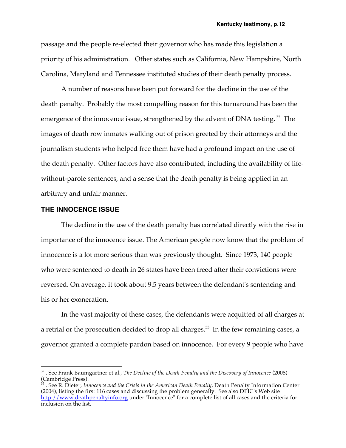passage and the people re-elected their governor who has made this legislation a priority of his administration. Other states such as California, New Hampshire, North Carolina, Maryland and Tennessee instituted studies of their death penalty process.

A number of reasons have been put forward for the decline in the use of the death penalty. Probably the most compelling reason for this turnaround has been the emergence of the innocence issue, strengthened by the advent of DNA testing.<sup>32</sup> The images of death row inmates walking out of prison greeted by their attorneys and the journalism students who helped free them have had a profound impact on the use of the death penalty. Other factors have also contributed, including the availability of lifewithout-parole sentences, and a sense that the death penalty is being applied in an arbitrary and unfair manner.

### **THE INNOCENCE ISSUE**

The decline in the use of the death penalty has correlated directly with the rise in importance of the innocence issue. The American people now know that the problem of innocence is a lot more serious than was previously thought. Since 1973, 140 people who were sentenced to death in 26 states have been freed after their convictions were reversed. On average, it took about 9.5 years between the defendant's sentencing and his or her exoneration.

In the vast majority of these cases, the defendants were acquitted of all charges at a retrial or the prosecution decided to drop all charges.<sup>33</sup> In the few remaining cases, a governor granted a complete pardon based on innocence. For every 9 people who have

 <sup>32</sup> . See Frank Baumgartner et al., *The Decline of the Death Penalty and the Discovery of Innocence* (2008)  $\frac{1}{33}$  Cambridge Press).

<sup>33</sup> . See R. Dieter, *Innocence and the Crisis in the American Death Penalty,* Death Penalty Information Center (2004), listing the first 116 cases and discussing the problem generally. See also DPIC's Web site http://www.deathpenaltyinfo.org under "Innocence" for a complete list of all cases and the criteria for inclusion on the list.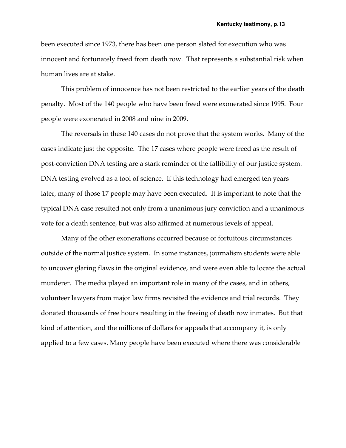been executed since 1973, there has been one person slated for execution who was innocent and fortunately freed from death row. That represents a substantial risk when human lives are at stake.

This problem of innocence has not been restricted to the earlier years of the death penalty. Most of the 140 people who have been freed were exonerated since 1995. Four people were exonerated in 2008 and nine in 2009.

The reversals in these 140 cases do not prove that the system works. Many of the cases indicate just the opposite. The 17 cases where people were freed as the result of post-conviction DNA testing are a stark reminder of the fallibility of our justice system. DNA testing evolved as a tool of science. If this technology had emerged ten years later, many of those 17 people may have been executed. It is important to note that the typical DNA case resulted not only from a unanimous jury conviction and a unanimous vote for a death sentence, but was also affirmed at numerous levels of appeal.

Many of the other exonerations occurred because of fortuitous circumstances outside of the normal justice system. In some instances, journalism students were able to uncover glaring flaws in the original evidence, and were even able to locate the actual murderer. The media played an important role in many of the cases, and in others, volunteer lawyers from major law firms revisited the evidence and trial records. They donated thousands of free hours resulting in the freeing of death row inmates. But that kind of attention, and the millions of dollars for appeals that accompany it, is only applied to a few cases. Many people have been executed where there was considerable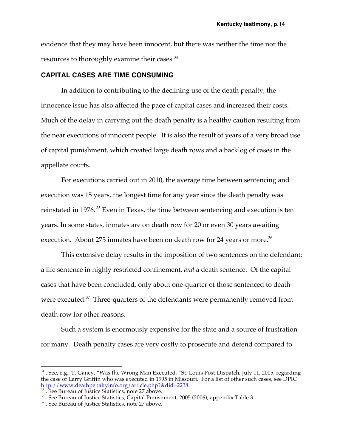evidence that they may have been innocent, but there was neither the time nor the resources to thoroughly examine their cases.<sup>34</sup>

#### **CAPITAL CASES ARE TIME CONSUMING**

In addition to contributing to the declining use of the death penalty, the innocence issue has also affected the pace of capital cases and increased their costs. Much of the delay in carrying out the death penalty is a healthy caution resulting from the near executions of innocent people. It is also the result of years of a very broad use of capital punishment, which created large death rows and a backlog of cases in the appellate courts.

For executions carried out in 2010, the average time between sentencing and execution was 15 years, the longest time for any year since the death penalty was reinstated in 1976. <sup>35</sup> Even in Texas, the time between sentencing and execution is ten years. In some states, inmates are on death row for 20 or even 30 years awaiting execution. About 275 inmates have been on death row for 24 years or more.<sup>36</sup>

This extensive delay results in the imposition of two sentences on the defendant: a life sentence in highly restricted confinement, *and* a death sentence. Of the capital cases that have been concluded, only about one-quarter of those sentenced to death were executed.<sup>37</sup> Three-quarters of the defendants were permanently removed from death row for other reasons.

Such a system is enormously expensive for the state and a source of frustration for many. Death penalty cases are very costly to prosecute and defend compared to

<sup>&</sup>lt;sup>34</sup> . See, e.g., T. Ganey, "Was the Wrong Man Executed, "St. Louis Post-Dispatch, July 11, 2005, regarding the case of Larry Griffin who was executed in 1995 in Missouri. For a list of other such cases, see DPIC http://www.deathpenaltyinfo.org/article.php?&did=2238.<br><sup>35</sup>. See Bureau of Justice Statistics, note 27 above.

<sup>&</sup>lt;sup>36</sup>. See Bureau of Justice Statistics, Capital Punishment, 2005 (2006), appendix Table 3.<br><sup>37</sup>. See Bureau of Justice Statistics, note 27 above.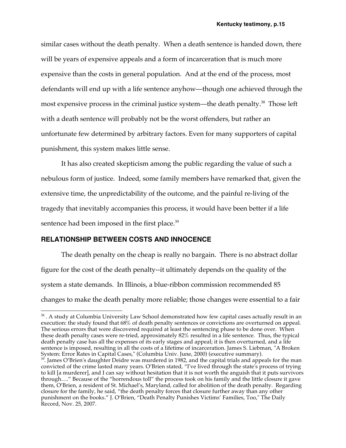similar cases without the death penalty. When a death sentence is handed down, there will be years of expensive appeals and a form of incarceration that is much more expensive than the costs in general population. And at the end of the process, most defendants will end up with a life sentence anyhow—though one achieved through the most expensive process in the criminal justice system—the death penalty.<sup>38</sup> Those left with a death sentence will probably not be the worst offenders, but rather an unfortunate few determined by arbitrary factors. Even for many supporters of capital punishment, this system makes little sense.

It has also created skepticism among the public regarding the value of such a nebulous form of justice. Indeed, some family members have remarked that, given the extensive time, the unpredictability of the outcome, and the painful re-living of the tragedy that inevitably accompanies this process, it would have been better if a life sentence had been imposed in the first place.<sup>39</sup>

### **RELATIONSHIP BETWEEN COSTS AND INNOCENCE**

The death penalty on the cheap is really no bargain. There is no abstract dollar figure for the cost of the death penalty--it ultimately depends on the quality of the system a state demands. In Illinois, a blue-ribbon commission recommended 85 changes to make the death penalty more reliable; those changes were essential to a fair

<sup>&</sup>lt;sup>38</sup>. A study at Columbia University Law School demonstrated how few capital cases actually result in an execution: the study found that 68% of death penalty sentences or convictions are overturned on appeal. The serious errors that were discovered required at least the sentencing phase to be done over. When these death penalty cases were re-tried, approximately 82% resulted in a life sentence. Thus, the typical death penalty case has all the expenses of its early stages and appeal; it is then overturned, and a life sentence is imposed, resulting in all the costs of a lifetime of incarceration. James S. Liebman, "A Broken System: Error Rates in Capital Cases," (Columbia Univ. June, 2000) (executive summary).<br><sup>39</sup>. James O'Brien's daughter Deidre was murdered in 1982, and the capital trials and appeals for the man

convicted of the crime lasted many years. O'Brien stated, "I've lived through the state's process of trying to kill [a murderer], and I can say without hesitation that it is not worth the anguish that it puts survivors through…." Because of the "horrendous toll" the process took on his family and the little closure it gave them, O'Brien, a resident of St. Michael's, Maryland, called for abolition of the death penalty. Regarding closure for the family, he said, "the death penalty forces that closure further away than any other punishment on the books." J. O'Brien, "Death Penalty Punishes Victims' Families, Too," The Daily Record, Nov. 25, 2007.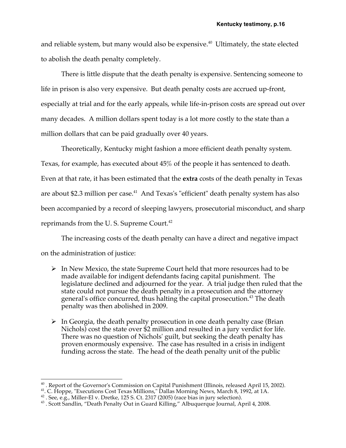and reliable system, but many would also be expensive. $40$  Ultimately, the state elected to abolish the death penalty completely.

There is little dispute that the death penalty is expensive. Sentencing someone to life in prison is also very expensive. But death penalty costs are accrued up-front, especially at trial and for the early appeals, while life-in-prison costs are spread out over many decades. A million dollars spent today is a lot more costly to the state than a million dollars that can be paid gradually over 40 years.

Theoretically, Kentucky might fashion a more efficient death penalty system. Texas, for example, has executed about 45% of the people it has sentenced to death. Even at that rate, it has been estimated that the **extra** costs of the death penalty in Texas are about \$2.3 million per case.<sup>41</sup> And Texas's "efficient" death penalty system has also been accompanied by a record of sleeping lawyers, prosecutorial misconduct, and sharp reprimands from the U.S. Supreme Court.<sup>42</sup>

The increasing costs of the death penalty can have a direct and negative impact on the administration of justice:

- $\triangleright$  In New Mexico, the state Supreme Court held that more resources had to be made available for indigent defendants facing capital punishment. The legislature declined and adjourned for the year. A trial judge then ruled that the state could not pursue the death penalty in a prosecution and the attorney general's office concurred, thus halting the capital prosecution.43 The death penalty was then abolished in 2009.
- $\triangleright$  In Georgia, the death penalty prosecution in one death penalty case (Brian Nichols) cost the state over \$2 million and resulted in a jury verdict for life. There was no question of Nichols' guilt, but seeking the death penalty has proven enormously expensive. The case has resulted in a crisis in indigent funding across the state. The head of the death penalty unit of the public

<sup>&</sup>lt;sub>40</sub><br>40 . Report of the Governor's Commission on Capital Punishment (Illinois, released April 15, 2002).<br><sup>41</sup>. C. Hoppe, "Executions Cost Texas Millions," Dallas Morning News, March 8, 1992, at 1A.

<sup>&</sup>lt;sup>42</sup> . See, e.g., Miller-El v. Dretke, 125 S. Ct. 2317 (2005) (race bias in jury selection).<br><sup>43</sup> . Scott Sandlin, "Death Penalty Out in Guard Killing," Albuquerque Journal, April 4, 2008.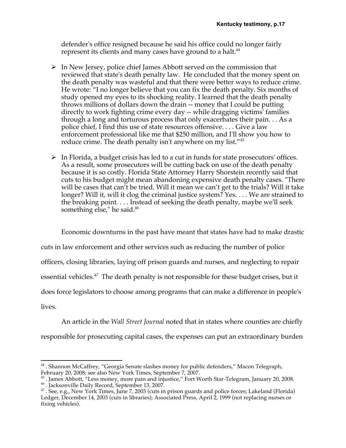defender's office resigned because he said his office could no longer fairly represent its clients and many cases have ground to a halt.<sup>44</sup>

- $\triangleright$  In New Jersey, police chief James Abbott served on the commission that reviewed that state's death penalty law. He concluded that the money spent on the death penalty was wasteful and that there were better ways to reduce crime. He wrote: "I no longer believe that you can fix the death penalty. Six months of study opened my eyes to its shocking reality. I learned that the death penalty throws millions of dollars down the drain -- money that I could be putting directly to work fighting crime every day -- while dragging victims' families through a long and torturous process that only exacerbates their pain. . . As a police chief, I find this use of state resources offensive. . . . Give a law enforcement professional like me that \$250 million, and I'll show you how to reduce crime. The death penalty isn't anywhere on my list."<sup>45</sup>
- $\triangleright$  In Florida, a budget crisis has led to a cut in funds for state prosecutors' offices. As a result, some prosecutors will be cutting back on use of the death penalty because it is so costly. Florida State Attorney Harry Shorstein recently said that cuts to his budget might mean abandoning expensive death penalty cases. "There will be cases that can't be tried. Will it mean we can't get to the trials? Will it take longer? Will it, will it clog the criminal justice system? Yes. . . . We are strained to the breaking point. . . . Instead of seeking the death penalty, maybe we'll seek something else," he said.<sup>46</sup>

Economic downturns in the past have meant that states have had to make drastic

cuts in law enforcement and other services such as reducing the number of police

officers, closing libraries, laying off prison guards and nurses, and neglecting to repair

essential vehicles.<sup>47</sup> The death penalty is not responsible for these budget crises, but it

does force legislators to choose among programs that can make a difference in people's

lives.

An article in the *Wall Street Journal* noted that in states where counties are chiefly responsible for prosecuting capital cases, the expenses can put an extraordinary burden

<sup>&</sup>lt;sup>44</sup> . Shannon McCaffrey, "Georgia Senate slashes money for public defenders," Macon Telegraph, February 20, 2008; see also New York Times, September 7, 2007.

<sup>&</sup>lt;sup>45</sup>. James Abbott, "Less money, more pain and injustice," Fort Worth Star-Telegram, January 20, 2008.<br><sup>46</sup>. Jacksonville Daily Record, September 13, 2007.<br><sup>47</sup>. See, e.g., New York Times, June 7, 2003 (cuts in prison guar Ledger, December 14, 2003 (cuts in libraries); Associated Press, April 2, 1999 (not replacing nurses or fixing vehicles).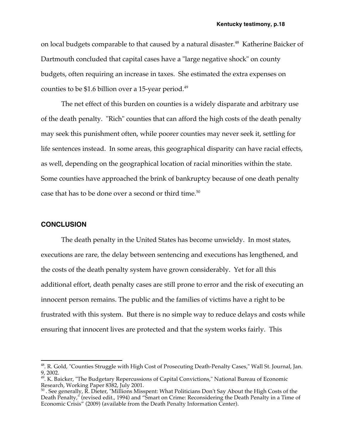on local budgets comparable to that caused by a natural disaster.<sup>48</sup> Katherine Baicker of Dartmouth concluded that capital cases have a "large negative shock" on county budgets, often requiring an increase in taxes. She estimated the extra expenses on counties to be \$1.6 billion over a 15-year period.<sup>49</sup>

The net effect of this burden on counties is a widely disparate and arbitrary use of the death penalty. "Rich" counties that can afford the high costs of the death penalty may seek this punishment often, while poorer counties may never seek it, settling for life sentences instead. In some areas, this geographical disparity can have racial effects, as well, depending on the geographical location of racial minorities within the state. Some counties have approached the brink of bankruptcy because of one death penalty case that has to be done over a second or third time.<sup>50</sup>

#### **CONCLUSION**

The death penalty in the United States has become unwieldy. In most states, executions are rare, the delay between sentencing and executions has lengthened, and the costs of the death penalty system have grown considerably. Yet for all this additional effort, death penalty cases are still prone to error and the risk of executing an innocent person remains. The public and the families of victims have a right to be frustrated with this system. But there is no simple way to reduce delays and costs while ensuring that innocent lives are protected and that the system works fairly. This

<sup>&</sup>lt;sup>48</sup>. R. Gold, "Counties Struggle with High Cost of Prosecuting Death-Penalty Cases," Wall St. Journal, Jan. 9, 2002.

<sup>&</sup>lt;sup>49</sup>. K. Baicker, "The Budgetary Repercussions of Capital Convictions," National Bureau of Economic Research, Working Paper 8382, July 2001.

 $^{50}$  . See generally, R. Dieter, "Millions Misspent: What Politicians Don't Say About the High Costs of the Death Penalty," (revised edit., 1994) and "Smart on Crime: Reconsidering the Death Penalty in a Time of Economic Crisis" (2009) (available from the Death Penalty Information Center).